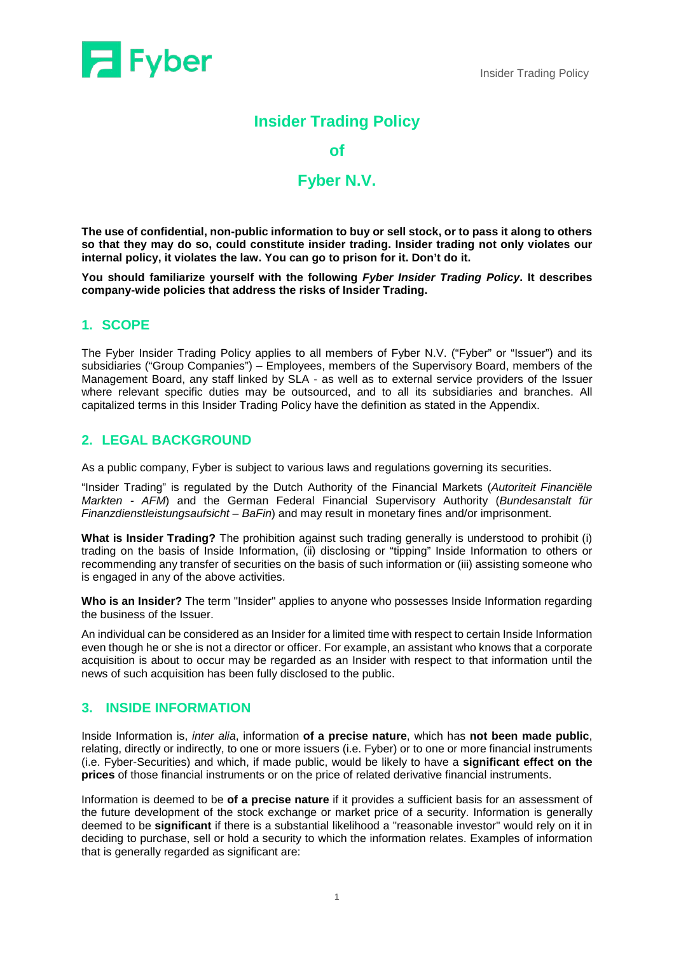

# **Insider Trading Policy**

#### **of**

# **Fyber N.V.**

**The use of confidential, non-public information to buy or sell stock, or to pass it along to others so that they may do so, could constitute insider trading. Insider trading not only violates our internal policy, it violates the law. You can go to prison for it. Don't do it.** 

**You should familiarize yourself with the following** *Fyber Insider Trading Policy***. It describes company-wide policies that address the risks of Insider Trading.**

## **1. SCOPE**

The Fyber Insider Trading Policy applies to all members of Fyber N.V. ("Fyber" or "Issuer") and its subsidiaries ("Group Companies") – Employees, members of the Supervisory Board, members of the Management Board, any staff linked by SLA - as well as to external service providers of the Issuer where relevant specific duties may be outsourced, and to all its subsidiaries and branches. All capitalized terms in this Insider Trading Policy have the definition as stated in the Appendix.

### **2. LEGAL BACKGROUND**

As a public company, Fyber is subject to various laws and regulations governing its securities.

"Insider Trading" is regulated by the Dutch Authority of the Financial Markets (*Autoriteit Financiële Markten - AFM*) and the German Federal Financial Supervisory Authority (*Bundesanstalt für Finanzdienstleistungsaufsicht – BaFin*) and may result in monetary fines and/or imprisonment.

**What is Insider Trading?** The prohibition against such trading generally is understood to prohibit (i) trading on the basis of Inside Information, (ii) disclosing or "tipping" Inside Information to others or recommending any transfer of securities on the basis of such information or (iii) assisting someone who is engaged in any of the above activities.

**Who is an Insider?** The term "Insider" applies to anyone who possesses Inside Information regarding the business of the Issuer.

An individual can be considered as an Insider for a limited time with respect to certain Inside Information even though he or she is not a director or officer. For example, an assistant who knows that a corporate acquisition is about to occur may be regarded as an Insider with respect to that information until the news of such acquisition has been fully disclosed to the public.

## **3. INSIDE INFORMATION**

Inside Information is, *inter alia*, information **of a precise nature**, which has **not been made public**, relating, directly or indirectly, to one or more issuers (i.e. Fyber) or to one or more financial instruments (i.e. Fyber-Securities) and which, if made public, would be likely to have a **significant effect on the prices** of those financial instruments or on the price of related derivative financial instruments.

Information is deemed to be **of a precise nature** if it provides a sufficient basis for an assessment of the future development of the stock exchange or market price of a security. Information is generally deemed to be **significant** if there is a substantial likelihood a "reasonable investor" would rely on it in deciding to purchase, sell or hold a security to which the information relates. Examples of information that is generally regarded as significant are: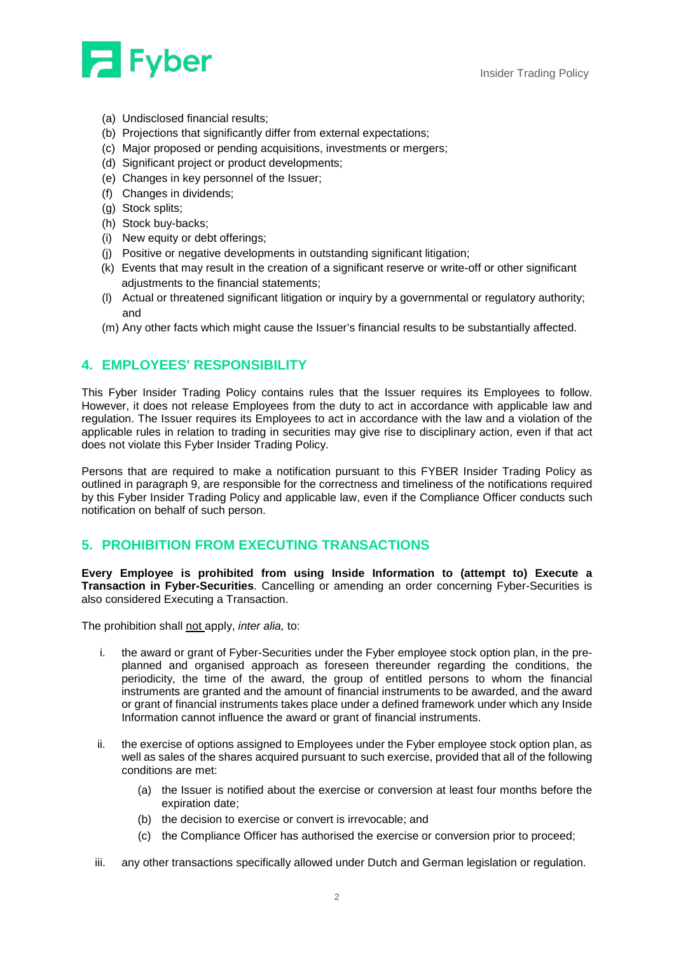

- (a) Undisclosed financial results;
- (b) Projections that significantly differ from external expectations;
- (c) Major proposed or pending acquisitions, investments or mergers;
- (d) Significant project or product developments;
- (e) Changes in key personnel of the Issuer;
- (f) Changes in dividends;
- (g) Stock splits;
- (h) Stock buy-backs;
- (i) New equity or debt offerings;
- (j) Positive or negative developments in outstanding significant litigation;
- (k) Events that may result in the creation of a significant reserve or write-off or other significant adiustments to the financial statements:
- (l) Actual or threatened significant litigation or inquiry by a governmental or regulatory authority; and
- (m) Any other facts which might cause the Issuer's financial results to be substantially affected.

## **4. EMPLOYEES' RESPONSIBILITY**

This Fyber Insider Trading Policy contains rules that the Issuer requires its Employees to follow. However, it does not release Employees from the duty to act in accordance with applicable law and regulation. The Issuer requires its Employees to act in accordance with the law and a violation of the applicable rules in relation to trading in securities may give rise to disciplinary action, even if that act does not violate this Fyber Insider Trading Policy.

Persons that are required to make a notification pursuant to this FYBER Insider Trading Policy as outlined in paragraph 9, are responsible for the correctness and timeliness of the notifications required by this Fyber Insider Trading Policy and applicable law, even if the Compliance Officer conducts such notification on behalf of such person.

### **5. PROHIBITION FROM EXECUTING TRANSACTIONS**

**Every Employee is prohibited from using Inside Information to (attempt to) Execute a Transaction in Fyber-Securities**. Cancelling or amending an order concerning Fyber-Securities is also considered Executing a Transaction.

The prohibition shall not apply, *inter alia,* to:

- i. the award or grant of Fyber-Securities under the Fyber employee stock option plan, in the preplanned and organised approach as foreseen thereunder regarding the conditions, the periodicity, the time of the award, the group of entitled persons to whom the financial instruments are granted and the amount of financial instruments to be awarded, and the award or grant of financial instruments takes place under a defined framework under which any Inside Information cannot influence the award or grant of financial instruments.
- ii. the exercise of options assigned to Employees under the Fyber employee stock option plan, as well as sales of the shares acquired pursuant to such exercise, provided that all of the following conditions are met:
	- (a) the Issuer is notified about the exercise or conversion at least four months before the expiration date;
	- (b) the decision to exercise or convert is irrevocable; and
	- (c) the Compliance Officer has authorised the exercise or conversion prior to proceed;
- iii. any other transactions specifically allowed under Dutch and German legislation or regulation.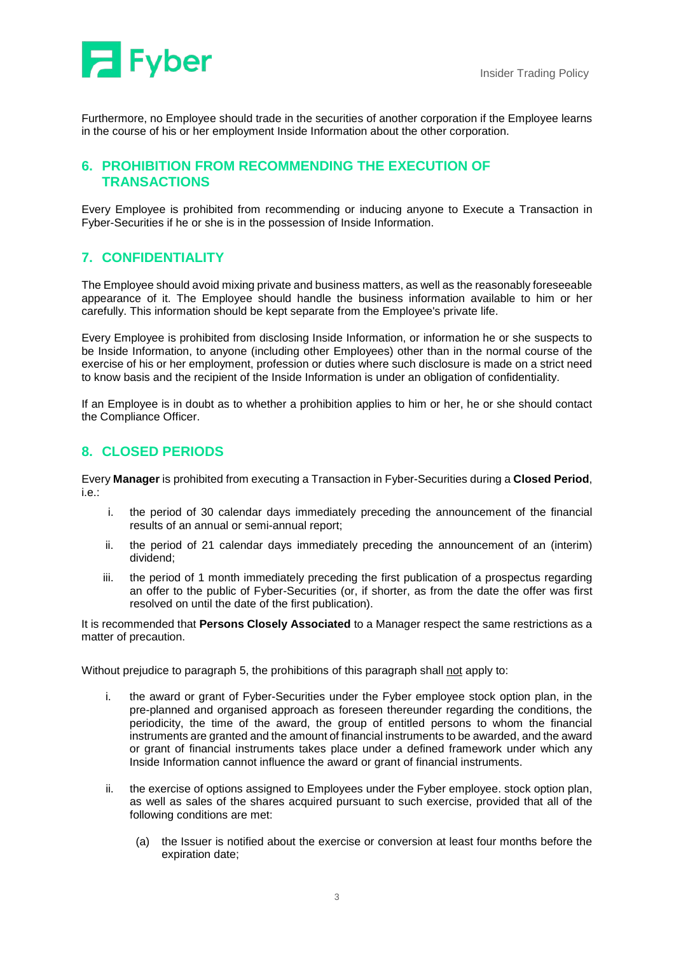

Furthermore, no Employee should trade in the securities of another corporation if the Employee learns in the course of his or her employment Inside Information about the other corporation.

## **6. PROHIBITION FROM RECOMMENDING THE EXECUTION OF TRANSACTIONS**

Every Employee is prohibited from recommending or inducing anyone to Execute a Transaction in Fyber-Securities if he or she is in the possession of Inside Information.

## **7. CONFIDENTIALITY**

The Employee should avoid mixing private and business matters, as well as the reasonably foreseeable appearance of it. The Employee should handle the business information available to him or her carefully. This information should be kept separate from the Employee's private life.

Every Employee is prohibited from disclosing Inside Information, or information he or she suspects to be Inside Information, to anyone (including other Employees) other than in the normal course of the exercise of his or her employment, profession or duties where such disclosure is made on a strict need to know basis and the recipient of the Inside Information is under an obligation of confidentiality.

If an Employee is in doubt as to whether a prohibition applies to him or her, he or she should contact the Compliance Officer.

### **8. CLOSED PERIODS**

Every **Manager** is prohibited from executing a Transaction in Fyber-Securities during a **Closed Period**, i.e.:

- i. the period of 30 calendar days immediately preceding the announcement of the financial results of an annual or semi-annual report;
- ii. the period of 21 calendar days immediately preceding the announcement of an (interim) dividend;
- iii. the period of 1 month immediately preceding the first publication of a prospectus regarding an offer to the public of Fyber-Securities (or, if shorter, as from the date the offer was first resolved on until the date of the first publication).

It is recommended that **Persons Closely Associated** to a Manager respect the same restrictions as a matter of precaution.

Without prejudice to paragraph 5, the prohibitions of this paragraph shall not apply to:

- i. the award or grant of Fyber-Securities under the Fyber employee stock option plan, in the pre-planned and organised approach as foreseen thereunder regarding the conditions, the periodicity, the time of the award, the group of entitled persons to whom the financial instruments are granted and the amount of financial instruments to be awarded, and the award or grant of financial instruments takes place under a defined framework under which any Inside Information cannot influence the award or grant of financial instruments.
- ii. the exercise of options assigned to Employees under the Fyber employee. stock option plan, as well as sales of the shares acquired pursuant to such exercise, provided that all of the following conditions are met:
	- (a) the Issuer is notified about the exercise or conversion at least four months before the expiration date;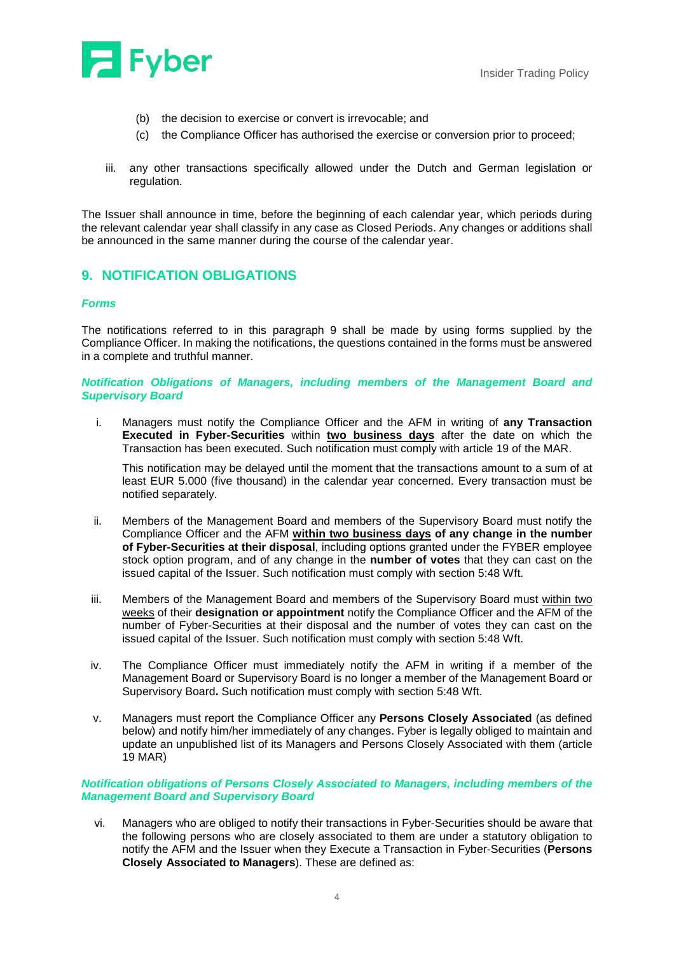

- (b) the decision to exercise or convert is irrevocable; and
- (c) the Compliance Officer has authorised the exercise or conversion prior to proceed;
- iii. any other transactions specifically allowed under the Dutch and German legislation or regulation.

The Issuer shall announce in time, before the beginning of each calendar year, which periods during the relevant calendar year shall classify in any case as Closed Periods. Any changes or additions shall be announced in the same manner during the course of the calendar year.

## **9. NOTIFICATION OBLIGATIONS**

#### *Forms*

The notifications referred to in this paragraph 9 shall be made by using forms supplied by the Compliance Officer. In making the notifications, the questions contained in the forms must be answered in a complete and truthful manner.

#### *Notification Obligations of Managers, including members of the Management Board and Supervisory Board*

i. Managers must notify the Compliance Officer and the AFM in writing of **any Transaction Executed in Fyber-Securities** within **two business days** after the date on which the Transaction has been executed. Such notification must comply with article 19 of the MAR.

This notification may be delayed until the moment that the transactions amount to a sum of at least EUR 5.000 (five thousand) in the calendar year concerned. Every transaction must be notified separately.

- ii. Members of the Management Board and members of the Supervisory Board must notify the Compliance Officer and the AFM **within two business days of any change in the number of Fyber-Securities at their disposal**, including options granted under the FYBER employee stock option program, and of any change in the **number of votes** that they can cast on the issued capital of the Issuer. Such notification must comply with section 5:48 Wft.
- iii. Members of the Management Board and members of the Supervisory Board must within two weeks of their **designation or appointment** notify the Compliance Officer and the AFM of the number of Fyber-Securities at their disposal and the number of votes they can cast on the issued capital of the Issuer. Such notification must comply with section 5:48 Wft.
- iv. The Compliance Officer must immediately notify the AFM in writing if a member of the Management Board or Supervisory Board is no longer a member of the Management Board or Supervisory Board**.** Such notification must comply with section 5:48 Wft.
- v. Managers must report the Compliance Officer any **Persons Closely Associated** (as defined below) and notify him/her immediately of any changes. Fyber is legally obliged to maintain and update an unpublished list of its Managers and Persons Closely Associated with them (article 19 MAR)

#### *Notification obligations of Persons Closely Associated to Managers, including members of the Management Board and Supervisory Board*

vi. Managers who are obliged to notify their transactions in Fyber-Securities should be aware that the following persons who are closely associated to them are under a statutory obligation to notify the AFM and the Issuer when they Execute a Transaction in Fyber-Securities (**Persons Closely Associated to Managers**). These are defined as: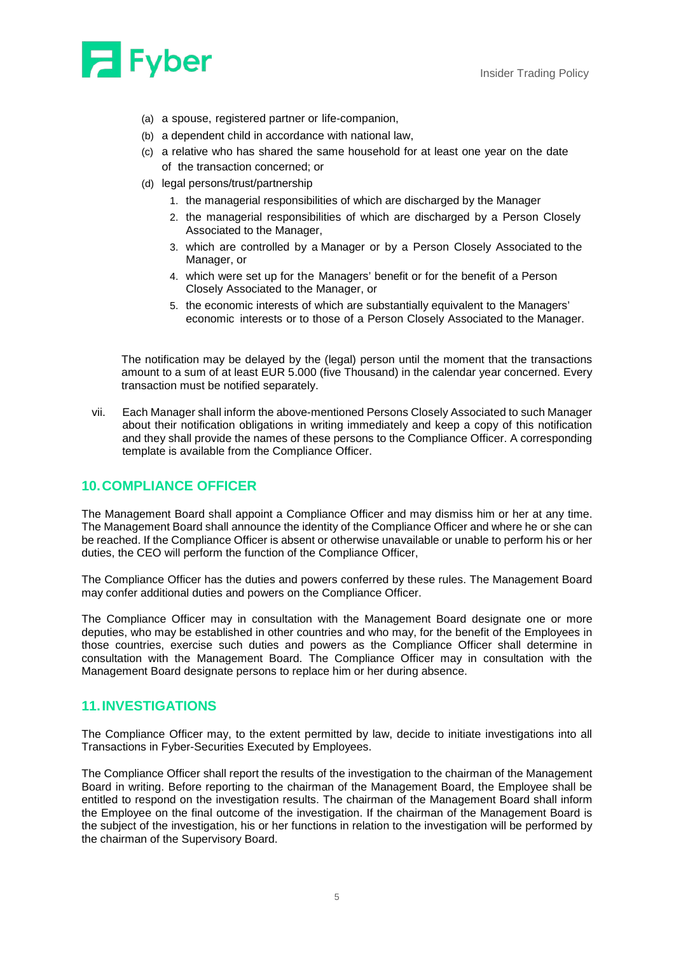

- (a) a spouse, registered partner or life-companion,
- (b) a dependent child in accordance with national law,
- (c) a relative who has shared the same household for at least one year on the date of the transaction concerned; or
- (d) legal persons/trust/partnership
	- 1. the managerial responsibilities of which are discharged by the Manager
	- 2. the managerial responsibilities of which are discharged by a Person Closely Associated to the Manager,
	- 3. which are controlled by a Manager or by a Person Closely Associated to the Manager, or
	- 4. which were set up for the Managers' benefit or for the benefit of a Person Closely Associated to the Manager, or
	- 5. the economic interests of which are substantially equivalent to the Managers' economic interests or to those of a Person Closely Associated to the Manager.

The notification may be delayed by the (legal) person until the moment that the transactions amount to a sum of at least EUR 5.000 (five Thousand) in the calendar year concerned. Every transaction must be notified separately.

vii. Each Manager shall inform the above-mentioned Persons Closely Associated to such Manager about their notification obligations in writing immediately and keep a copy of this notification and they shall provide the names of these persons to the Compliance Officer. A corresponding template is available from the Compliance Officer.

#### **10.COMPLIANCE OFFICER**

The Management Board shall appoint a Compliance Officer and may dismiss him or her at any time. The Management Board shall announce the identity of the Compliance Officer and where he or she can be reached. If the Compliance Officer is absent or otherwise unavailable or unable to perform his or her duties, the CEO will perform the function of the Compliance Officer,

The Compliance Officer has the duties and powers conferred by these rules. The Management Board may confer additional duties and powers on the Compliance Officer.

The Compliance Officer may in consultation with the Management Board designate one or more deputies, who may be established in other countries and who may, for the benefit of the Employees in those countries, exercise such duties and powers as the Compliance Officer shall determine in consultation with the Management Board. The Compliance Officer may in consultation with the Management Board designate persons to replace him or her during absence.

#### **11.INVESTIGATIONS**

The Compliance Officer may, to the extent permitted by law, decide to initiate investigations into all Transactions in Fyber-Securities Executed by Employees.

The Compliance Officer shall report the results of the investigation to the chairman of the Management Board in writing. Before reporting to the chairman of the Management Board, the Employee shall be entitled to respond on the investigation results. The chairman of the Management Board shall inform the Employee on the final outcome of the investigation. If the chairman of the Management Board is the subject of the investigation, his or her functions in relation to the investigation will be performed by the chairman of the Supervisory Board.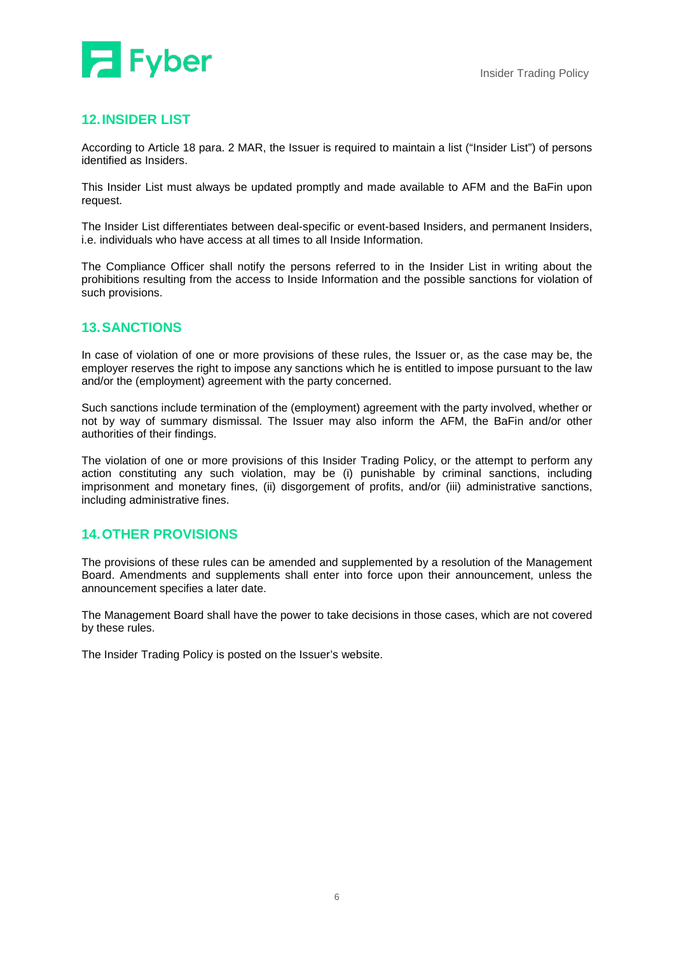## **12.INSIDER LIST**

According to Article 18 para. 2 MAR, the Issuer is required to maintain a list ("Insider List") of persons identified as Insiders.

This Insider List must always be updated promptly and made available to AFM and the BaFin upon request.

The Insider List differentiates between deal-specific or event-based Insiders, and permanent Insiders, i.e. individuals who have access at all times to all Inside Information.

The Compliance Officer shall notify the persons referred to in the Insider List in writing about the prohibitions resulting from the access to Inside Information and the possible sanctions for violation of such provisions.

### **13.SANCTIONS**

In case of violation of one or more provisions of these rules, the Issuer or, as the case may be, the employer reserves the right to impose any sanctions which he is entitled to impose pursuant to the law and/or the (employment) agreement with the party concerned.

Such sanctions include termination of the (employment) agreement with the party involved, whether or not by way of summary dismissal. The Issuer may also inform the AFM, the BaFin and/or other authorities of their findings.

The violation of one or more provisions of this Insider Trading Policy, or the attempt to perform any action constituting any such violation, may be (i) punishable by criminal sanctions, including imprisonment and monetary fines, (ii) disgorgement of profits, and/or (iii) administrative sanctions, including administrative fines.

### **14.OTHER PROVISIONS**

The provisions of these rules can be amended and supplemented by a resolution of the Management Board. Amendments and supplements shall enter into force upon their announcement, unless the announcement specifies a later date.

The Management Board shall have the power to take decisions in those cases, which are not covered by these rules.

The Insider Trading Policy is posted on the Issuer's website.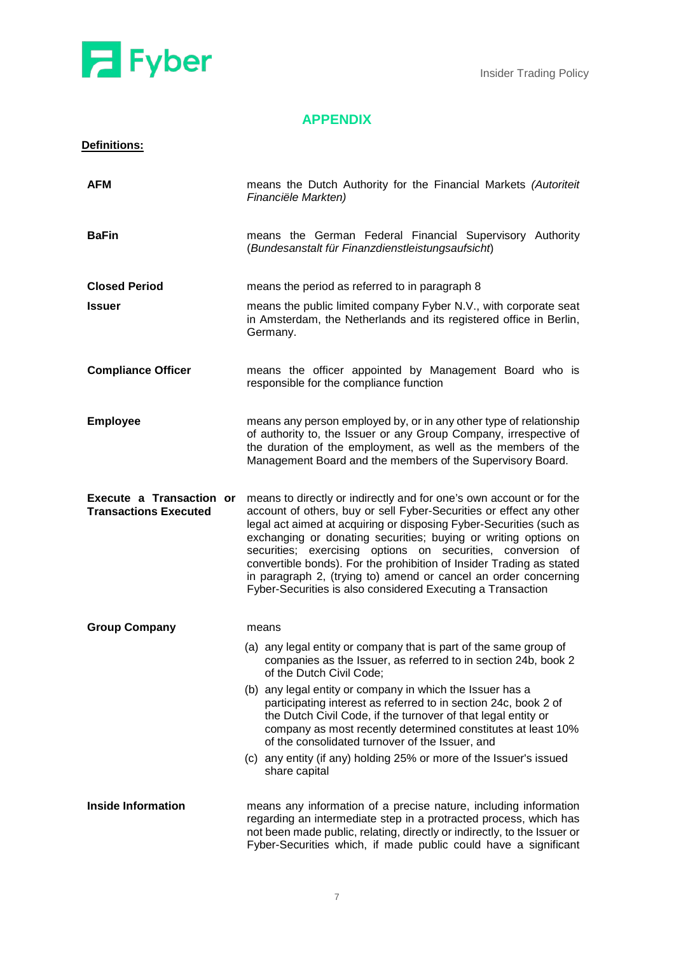

## **APPENDIX**

| <b>Definitions:</b> |  |
|---------------------|--|
|                     |  |

| <b>AFM</b>                                               | means the Dutch Authority for the Financial Markets (Autoriteit<br>Financiële Markten)                                                                                                                                                                                                                                                                                                                                                                                                                                                                         |
|----------------------------------------------------------|----------------------------------------------------------------------------------------------------------------------------------------------------------------------------------------------------------------------------------------------------------------------------------------------------------------------------------------------------------------------------------------------------------------------------------------------------------------------------------------------------------------------------------------------------------------|
| <b>BaFin</b>                                             | means the German Federal Financial Supervisory Authority<br>(Bundesanstalt für Finanzdienstleistungsaufsicht)                                                                                                                                                                                                                                                                                                                                                                                                                                                  |
| <b>Closed Period</b>                                     | means the period as referred to in paragraph 8                                                                                                                                                                                                                                                                                                                                                                                                                                                                                                                 |
| <b>Issuer</b>                                            | means the public limited company Fyber N.V., with corporate seat<br>in Amsterdam, the Netherlands and its registered office in Berlin,<br>Germany.                                                                                                                                                                                                                                                                                                                                                                                                             |
| <b>Compliance Officer</b>                                | means the officer appointed by Management Board who is<br>responsible for the compliance function                                                                                                                                                                                                                                                                                                                                                                                                                                                              |
| <b>Employee</b>                                          | means any person employed by, or in any other type of relationship<br>of authority to, the Issuer or any Group Company, irrespective of<br>the duration of the employment, as well as the members of the<br>Management Board and the members of the Supervisory Board.                                                                                                                                                                                                                                                                                         |
| Execute a Transaction or<br><b>Transactions Executed</b> | means to directly or indirectly and for one's own account or for the<br>account of others, buy or sell Fyber-Securities or effect any other<br>legal act aimed at acquiring or disposing Fyber-Securities (such as<br>exchanging or donating securities; buying or writing options on<br>securities; exercising options on securities, conversion of<br>convertible bonds). For the prohibition of Insider Trading as stated<br>in paragraph 2, (trying to) amend or cancel an order concerning<br>Fyber-Securities is also considered Executing a Transaction |
| <b>Group Company</b>                                     | means                                                                                                                                                                                                                                                                                                                                                                                                                                                                                                                                                          |
|                                                          | (a) any legal entity or company that is part of the same group of<br>companies as the Issuer, as referred to in section 24b, book 2<br>of the Dutch Civil Code;                                                                                                                                                                                                                                                                                                                                                                                                |
|                                                          | (b) any legal entity or company in which the Issuer has a<br>participating interest as referred to in section 24c, book 2 of<br>the Dutch Civil Code, if the turnover of that legal entity or<br>company as most recently determined constitutes at least 10%<br>of the consolidated turnover of the Issuer, and                                                                                                                                                                                                                                               |
|                                                          | (c) any entity (if any) holding 25% or more of the Issuer's issued<br>share capital                                                                                                                                                                                                                                                                                                                                                                                                                                                                            |
| <b>Inside Information</b>                                | means any information of a precise nature, including information<br>regarding an intermediate step in a protracted process, which has<br>not been made public, relating, directly or indirectly, to the Issuer or<br>Fyber-Securities which, if made public could have a significant                                                                                                                                                                                                                                                                           |